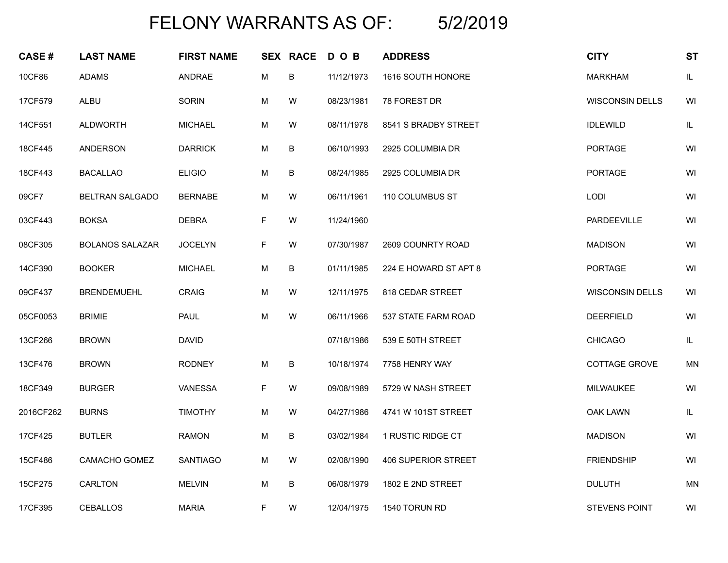## FELONY WARRANTS AS OF: 5/2/2019

| <b>CASE#</b> | <b>LAST NAME</b>       | <b>FIRST NAME</b> |    | <b>SEX RACE</b> | D O B      | <b>ADDRESS</b>        | <b>CITY</b>            | <b>ST</b> |
|--------------|------------------------|-------------------|----|-----------------|------------|-----------------------|------------------------|-----------|
| 10CF86       | <b>ADAMS</b>           | ANDRAE            | M  | B               | 11/12/1973 | 1616 SOUTH HONORE     | <b>MARKHAM</b>         | $\sf IL$  |
| 17CF579      | ALBU                   | SORIN             | M  | W               | 08/23/1981 | 78 FOREST DR          | <b>WISCONSIN DELLS</b> | WI        |
| 14CF551      | <b>ALDWORTH</b>        | <b>MICHAEL</b>    | M  | W               | 08/11/1978 | 8541 S BRADBY STREET  | <b>IDLEWILD</b>        | $\sf IL$  |
| 18CF445      | <b>ANDERSON</b>        | <b>DARRICK</b>    | M  | B               | 06/10/1993 | 2925 COLUMBIA DR      | <b>PORTAGE</b>         | WI        |
| 18CF443      | <b>BACALLAO</b>        | <b>ELIGIO</b>     | М  | В               | 08/24/1985 | 2925 COLUMBIA DR      | PORTAGE                | WI        |
| 09CF7        | <b>BELTRAN SALGADO</b> | <b>BERNABE</b>    | М  | W               | 06/11/1961 | 110 COLUMBUS ST       | LODI                   | WI        |
| 03CF443      | <b>BOKSA</b>           | <b>DEBRA</b>      | F. | W               | 11/24/1960 |                       | PARDEEVILLE            | WI        |
| 08CF305      | <b>BOLANOS SALAZAR</b> | <b>JOCELYN</b>    | F. | W               | 07/30/1987 | 2609 COUNRTY ROAD     | <b>MADISON</b>         | WI        |
| 14CF390      | <b>BOOKER</b>          | <b>MICHAEL</b>    | М  | B               | 01/11/1985 | 224 E HOWARD ST APT 8 | <b>PORTAGE</b>         | WI        |
| 09CF437      | <b>BRENDEMUEHL</b>     | <b>CRAIG</b>      | M  | W               | 12/11/1975 | 818 CEDAR STREET      | <b>WISCONSIN DELLS</b> | WI        |
| 05CF0053     | <b>BRIMIE</b>          | <b>PAUL</b>       | M  | W               | 06/11/1966 | 537 STATE FARM ROAD   | <b>DEERFIELD</b>       | WI        |
| 13CF266      | <b>BROWN</b>           | <b>DAVID</b>      |    |                 | 07/18/1986 | 539 E 50TH STREET     | <b>CHICAGO</b>         | $\sf IL$  |
| 13CF476      | <b>BROWN</b>           | <b>RODNEY</b>     | M  | B               | 10/18/1974 | 7758 HENRY WAY        | COTTAGE GROVE          | <b>MN</b> |
| 18CF349      | <b>BURGER</b>          | VANESSA           | F  | W               | 09/08/1989 | 5729 W NASH STREET    | <b>MILWAUKEE</b>       | WI        |
| 2016CF262    | <b>BURNS</b>           | <b>TIMOTHY</b>    | M  | W               | 04/27/1986 | 4741 W 101ST STREET   | OAK LAWN               | $\sf IL$  |
| 17CF425      | <b>BUTLER</b>          | <b>RAMON</b>      | M  | B               | 03/02/1984 | 1 RUSTIC RIDGE CT     | <b>MADISON</b>         | WI        |
| 15CF486      | CAMACHO GOMEZ          | <b>SANTIAGO</b>   | M  | W               | 02/08/1990 | 406 SUPERIOR STREET   | <b>FRIENDSHIP</b>      | WI        |
| 15CF275      | CARLTON                | <b>MELVIN</b>     | М  | В               | 06/08/1979 | 1802 E 2ND STREET     | <b>DULUTH</b>          | <b>MN</b> |
| 17CF395      | <b>CEBALLOS</b>        | <b>MARIA</b>      | F. | W               | 12/04/1975 | 1540 TORUN RD         | <b>STEVENS POINT</b>   | WI        |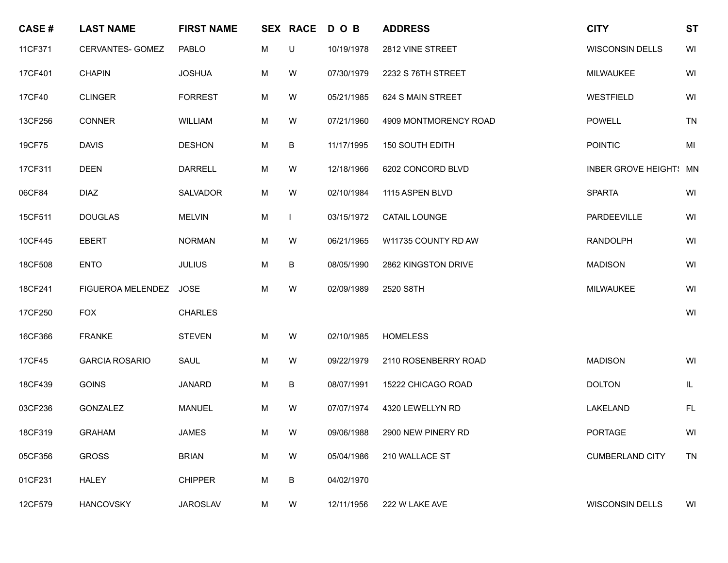| <b>CASE#</b> | <b>LAST NAME</b>      | <b>FIRST NAME</b> |   | <b>SEX RACE</b> | DOB        | <b>ADDRESS</b>         | <b>CITY</b>            | <b>ST</b>                                                                              |
|--------------|-----------------------|-------------------|---|-----------------|------------|------------------------|------------------------|----------------------------------------------------------------------------------------|
| 11CF371      | CERVANTES- GOMEZ      | PABLO             | М | U               | 10/19/1978 | 2812 VINE STREET       | <b>WISCONSIN DELLS</b> | WI                                                                                     |
| 17CF401      | <b>CHAPIN</b>         | <b>JOSHUA</b>     | M | W               | 07/30/1979 | 2232 S 76TH STREET     | <b>MILWAUKEE</b>       | WI                                                                                     |
| 17CF40       | <b>CLINGER</b>        | <b>FORREST</b>    | M | W               | 05/21/1985 | 624 S MAIN STREET      | <b>WESTFIELD</b>       | WI                                                                                     |
| 13CF256      | <b>CONNER</b>         | WILLIAM           | М | W               | 07/21/1960 | 4909 MONTMORENCY ROAD  | <b>POWELL</b>          | <b>TN</b>                                                                              |
| 19CF75       | <b>DAVIS</b>          | <b>DESHON</b>     | M | B               | 11/17/1995 | <b>150 SOUTH EDITH</b> | <b>POINTIC</b>         | $\mathsf{MI}% _{T}=\mathsf{M}_{T}\!\left( a,b\right) ,\ \mathsf{M}_{T}=\mathsf{M}_{T}$ |
| 17CF311      | <b>DEEN</b>           | <b>DARRELL</b>    | M | W               | 12/18/1966 | 6202 CONCORD BLVD      | INBER GROVE HEIGHT! MN |                                                                                        |
| 06CF84       | <b>DIAZ</b>           | <b>SALVADOR</b>   | M | W               | 02/10/1984 | 1115 ASPEN BLVD        | <b>SPARTA</b>          | WI                                                                                     |
| 15CF511      | <b>DOUGLAS</b>        | <b>MELVIN</b>     | M |                 | 03/15/1972 | <b>CATAIL LOUNGE</b>   | PARDEEVILLE            | WI                                                                                     |
| 10CF445      | <b>EBERT</b>          | <b>NORMAN</b>     | М | W               | 06/21/1965 | W11735 COUNTY RD AW    | <b>RANDOLPH</b>        | WI                                                                                     |
| 18CF508      | <b>ENTO</b>           | <b>JULIUS</b>     | M | В               | 08/05/1990 | 2862 KINGSTON DRIVE    | <b>MADISON</b>         | WI                                                                                     |
| 18CF241      | FIGUEROA MELENDEZ     | <b>JOSE</b>       | M | W               | 02/09/1989 | 2520 S8TH              | MILWAUKEE              | WI                                                                                     |
| 17CF250      | <b>FOX</b>            | <b>CHARLES</b>    |   |                 |            |                        |                        | WI                                                                                     |
| 16CF366      | <b>FRANKE</b>         | <b>STEVEN</b>     | М | W               | 02/10/1985 | <b>HOMELESS</b>        |                        |                                                                                        |
| 17CF45       | <b>GARCIA ROSARIO</b> | SAUL              | M | W               | 09/22/1979 | 2110 ROSENBERRY ROAD   | <b>MADISON</b>         | WI                                                                                     |
| 18CF439      | <b>GOINS</b>          | <b>JANARD</b>     | М | В               | 08/07/1991 | 15222 CHICAGO ROAD     | <b>DOLTON</b>          | $\mathsf{IL}$                                                                          |
| 03CF236      | GONZALEZ              | <b>MANUEL</b>     | М | W               | 07/07/1974 | 4320 LEWELLYN RD       | LAKELAND               | <b>FL</b>                                                                              |
| 18CF319      | <b>GRAHAM</b>         | JAMES             | M | W               | 09/06/1988 | 2900 NEW PINERY RD     | PORTAGE                | WI                                                                                     |
| 05CF356      | <b>GROSS</b>          | <b>BRIAN</b>      | M | W               | 05/04/1986 | 210 WALLACE ST         | <b>CUMBERLAND CITY</b> | <b>TN</b>                                                                              |
| 01CF231      | HALEY                 | <b>CHIPPER</b>    | M | В               | 04/02/1970 |                        |                        |                                                                                        |
| 12CF579      | <b>HANCOVSKY</b>      | <b>JAROSLAV</b>   | M | W               | 12/11/1956 | 222 W LAKE AVE         | <b>WISCONSIN DELLS</b> | WI                                                                                     |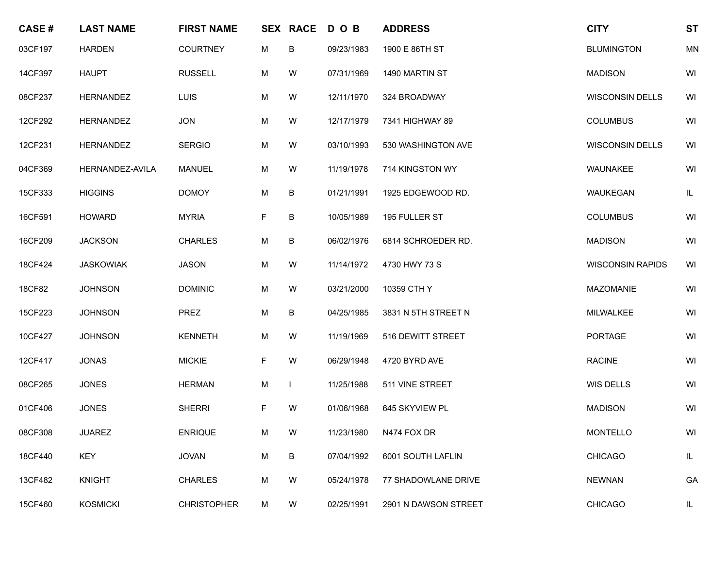| <b>CASE#</b> | <b>LAST NAME</b> | <b>FIRST NAME</b>  |    | <b>SEX RACE</b> | DOB        | <b>ADDRESS</b>       | <b>CITY</b>             | <b>ST</b> |
|--------------|------------------|--------------------|----|-----------------|------------|----------------------|-------------------------|-----------|
| 03CF197      | <b>HARDEN</b>    | <b>COURTNEY</b>    | М  | B               | 09/23/1983 | 1900 E 86TH ST       | <b>BLUMINGTON</b>       | <b>MN</b> |
| 14CF397      | <b>HAUPT</b>     | <b>RUSSELL</b>     | M  | W               | 07/31/1969 | 1490 MARTIN ST       | <b>MADISON</b>          | WI        |
| 08CF237      | HERNANDEZ        | LUIS               | М  | W               | 12/11/1970 | 324 BROADWAY         | <b>WISCONSIN DELLS</b>  | WI        |
| 12CF292      | HERNANDEZ        | <b>JON</b>         | М  | W               | 12/17/1979 | 7341 HIGHWAY 89      | <b>COLUMBUS</b>         | WI        |
| 12CF231      | <b>HERNANDEZ</b> | <b>SERGIO</b>      | M  | W               | 03/10/1993 | 530 WASHINGTON AVE   | <b>WISCONSIN DELLS</b>  | WI        |
| 04CF369      | HERNANDEZ-AVILA  | <b>MANUEL</b>      | М  | W               | 11/19/1978 | 714 KINGSTON WY      | WAUNAKEE                | WI        |
| 15CF333      | <b>HIGGINS</b>   | <b>DOMOY</b>       | M  | B               | 01/21/1991 | 1925 EDGEWOOD RD.    | WAUKEGAN                | IL        |
| 16CF591      | <b>HOWARD</b>    | <b>MYRIA</b>       | F  | B               | 10/05/1989 | 195 FULLER ST        | <b>COLUMBUS</b>         | WI        |
| 16CF209      | <b>JACKSON</b>   | <b>CHARLES</b>     | M  | B               | 06/02/1976 | 6814 SCHROEDER RD.   | <b>MADISON</b>          | WI        |
| 18CF424      | <b>JASKOWIAK</b> | <b>JASON</b>       | М  | W               | 11/14/1972 | 4730 HWY 73 S        | <b>WISCONSIN RAPIDS</b> | WI        |
| 18CF82       | <b>JOHNSON</b>   | <b>DOMINIC</b>     | M  | W               | 03/21/2000 | 10359 CTH Y          | <b>MAZOMANIE</b>        | WI        |
| 15CF223      | <b>JOHNSON</b>   | PREZ               | М  | B               | 04/25/1985 | 3831 N 5TH STREET N  | MILWALKEE               | WI        |
| 10CF427      | <b>JOHNSON</b>   | <b>KENNETH</b>     | М  | W               | 11/19/1969 | 516 DEWITT STREET    | <b>PORTAGE</b>          | WI        |
| 12CF417      | <b>JONAS</b>     | <b>MICKIE</b>      | F. | W               | 06/29/1948 | 4720 BYRD AVE        | <b>RACINE</b>           | WI        |
| 08CF265      | <b>JONES</b>     | <b>HERMAN</b>      | М  |                 | 11/25/1988 | 511 VINE STREET      | WIS DELLS               | WI        |
| 01CF406      | <b>JONES</b>     | <b>SHERRI</b>      | F. | W               | 01/06/1968 | 645 SKYVIEW PL       | <b>MADISON</b>          | WI        |
| 08CF308      | <b>JUAREZ</b>    | <b>ENRIQUE</b>     | M  | W               | 11/23/1980 | N474 FOX DR          | MONTELLO                | WI        |
| 18CF440      | <b>KEY</b>       | <b>JOVAN</b>       | М  | B               | 07/04/1992 | 6001 SOUTH LAFLIN    | <b>CHICAGO</b>          | IL        |
| 13CF482      | <b>KNIGHT</b>    | <b>CHARLES</b>     | M  | W               | 05/24/1978 | 77 SHADOWLANE DRIVE  | <b>NEWNAN</b>           | GA        |
| 15CF460      | <b>KOSMICKI</b>  | <b>CHRISTOPHER</b> | M  | W               | 02/25/1991 | 2901 N DAWSON STREET | <b>CHICAGO</b>          | IL        |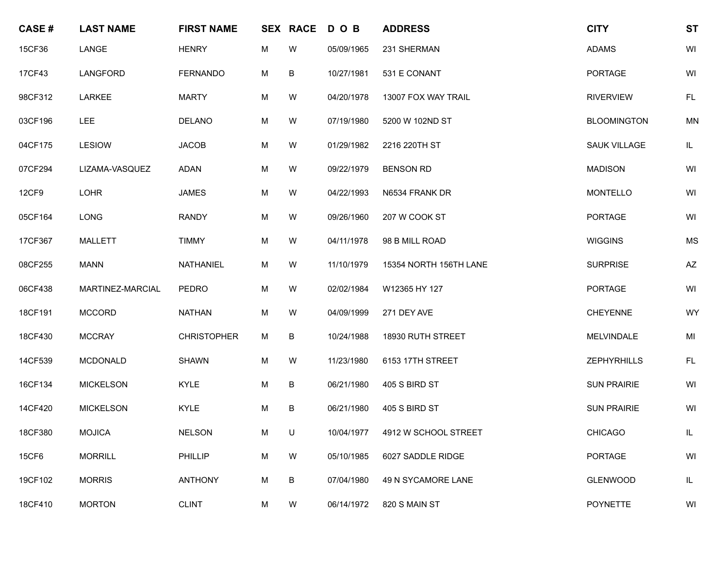| <b>CASE#</b> | <b>LAST NAME</b> | <b>FIRST NAME</b>  |   | <b>SEX RACE</b> | D O B      | <b>ADDRESS</b>                   | <b>CITY</b>         | <b>ST</b>                         |
|--------------|------------------|--------------------|---|-----------------|------------|----------------------------------|---------------------|-----------------------------------|
| 15CF36       | LANGE            | <b>HENRY</b>       | М | W               | 05/09/1965 | 231 SHERMAN                      | <b>ADAMS</b>        | WI                                |
| 17CF43       | LANGFORD         | <b>FERNANDO</b>    | M | B               | 10/27/1981 | 531 E CONANT                     | <b>PORTAGE</b>      | WI                                |
| 98CF312      | <b>LARKEE</b>    | <b>MARTY</b>       | М | W               | 04/20/1978 | 13007 FOX WAY TRAIL              | <b>RIVERVIEW</b>    | <b>FL</b>                         |
| 03CF196      | <b>LEE</b>       | <b>DELANO</b>      | М | W               | 07/19/1980 | 5200 W 102ND ST                  | <b>BLOOMINGTON</b>  | <b>MN</b>                         |
| 04CF175      | <b>LESIOW</b>    | <b>JACOB</b>       | M | W               | 01/29/1982 | 2216 220TH ST                    | <b>SAUK VILLAGE</b> | $\ensuremath{\mathsf{IL}}\xspace$ |
| 07CF294      | LIZAMA-VASQUEZ   | <b>ADAN</b>        | М | W               | 09/22/1979 | <b>BENSON RD</b>                 | <b>MADISON</b>      | WI                                |
| <b>12CF9</b> | <b>LOHR</b>      | <b>JAMES</b>       | М | W               | 04/22/1993 | N6534 FRANK DR                   | <b>MONTELLO</b>     | WI                                |
| 05CF164      | <b>LONG</b>      | <b>RANDY</b>       | M | W               | 09/26/1960 | 207 W COOK ST                    | <b>PORTAGE</b>      | WI                                |
| 17CF367      | <b>MALLETT</b>   | <b>TIMMY</b>       | М | W               | 04/11/1978 | 98 B MILL ROAD                   | <b>WIGGINS</b>      | <b>MS</b>                         |
| 08CF255      | <b>MANN</b>      | NATHANIEL          | М | W               | 11/10/1979 | 15354 NORTH 156TH LANE           | <b>SURPRISE</b>     | AZ                                |
| 06CF438      | MARTINEZ-MARCIAL | <b>PEDRO</b>       | M | W               | 02/02/1984 | W12365 HY 127                    | <b>PORTAGE</b>      | WI                                |
| 18CF191      | <b>MCCORD</b>    | <b>NATHAN</b>      | М | W               | 04/09/1999 | 271 DEY AVE                      | <b>CHEYENNE</b>     | WY                                |
| 18CF430      | <b>MCCRAY</b>    | <b>CHRISTOPHER</b> | M | B               | 10/24/1988 | 18930 RUTH STREET                | <b>MELVINDALE</b>   | MI                                |
| 14CF539      | <b>MCDONALD</b>  | <b>SHAWN</b>       | M | W               | 11/23/1980 | 6153 17TH STREET                 | <b>ZEPHYRHILLS</b>  | FL                                |
| 16CF134      | <b>MICKELSON</b> | <b>KYLE</b>        | М | B               | 06/21/1980 | 405 S BIRD ST                    | <b>SUN PRAIRIE</b>  | WI                                |
| 14CF420      | <b>MICKELSON</b> | <b>KYLE</b>        | М | B               | 06/21/1980 | 405 S BIRD ST                    | <b>SUN PRAIRIE</b>  | WI                                |
| 18CF380      | <b>MOJICA</b>    | <b>NELSON</b>      | M | $\cup$          |            | 10/04/1977  4912 W SCHOOL STREET | CHICAGO             | IL                                |
| <b>15CF6</b> | <b>MORRILL</b>   | <b>PHILLIP</b>     | M | W               | 05/10/1985 | 6027 SADDLE RIDGE                | <b>PORTAGE</b>      | WI                                |
| 19CF102      | <b>MORRIS</b>    | <b>ANTHONY</b>     | M | B               | 07/04/1980 | 49 N SYCAMORE LANE               | <b>GLENWOOD</b>     | IL                                |
| 18CF410      | <b>MORTON</b>    | <b>CLINT</b>       | M | W               | 06/14/1972 | 820 S MAIN ST                    | <b>POYNETTE</b>     | WI                                |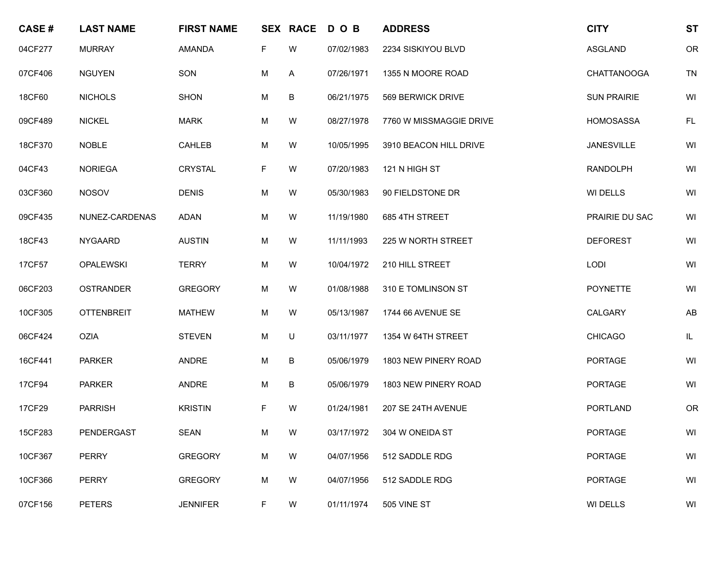| <b>CASE#</b> | <b>LAST NAME</b>  | <b>FIRST NAME</b> |   | <b>SEX RACE</b> | DOB        | <b>ADDRESS</b>          | <b>CITY</b>        | <b>ST</b> |
|--------------|-------------------|-------------------|---|-----------------|------------|-------------------------|--------------------|-----------|
| 04CF277      | <b>MURRAY</b>     | AMANDA            | F | W               | 07/02/1983 | 2234 SISKIYOU BLVD      | <b>ASGLAND</b>     | OR        |
| 07CF406      | <b>NGUYEN</b>     | SON               | M | A               | 07/26/1971 | 1355 N MOORE ROAD       | <b>CHATTANOOGA</b> | <b>TN</b> |
| 18CF60       | <b>NICHOLS</b>    | <b>SHON</b>       | M | В               | 06/21/1975 | 569 BERWICK DRIVE       | <b>SUN PRAIRIE</b> | WI        |
| 09CF489      | <b>NICKEL</b>     | <b>MARK</b>       | М | W               | 08/27/1978 | 7760 W MISSMAGGIE DRIVE | <b>HOMOSASSA</b>   | FL        |
| 18CF370      | <b>NOBLE</b>      | <b>CAHLEB</b>     | M | W               | 10/05/1995 | 3910 BEACON HILL DRIVE  | <b>JANESVILLE</b>  | WI        |
| 04CF43       | <b>NORIEGA</b>    | <b>CRYSTAL</b>    | F | W               | 07/20/1983 | 121 N HIGH ST           | <b>RANDOLPH</b>    | WI        |
| 03CF360      | <b>NOSOV</b>      | <b>DENIS</b>      | М | W               | 05/30/1983 | 90 FIELDSTONE DR        | WI DELLS           | WI        |
| 09CF435      | NUNEZ-CARDENAS    | <b>ADAN</b>       | M | W               | 11/19/1980 | 685 4TH STREET          | PRAIRIE DU SAC     | WI        |
| 18CF43       | <b>NYGAARD</b>    | <b>AUSTIN</b>     | M | W               | 11/11/1993 | 225 W NORTH STREET      | <b>DEFOREST</b>    | WI        |
| 17CF57       | <b>OPALEWSKI</b>  | <b>TERRY</b>      | M | W               | 10/04/1972 | 210 HILL STREET         | LODI               | WI        |
| 06CF203      | <b>OSTRANDER</b>  | <b>GREGORY</b>    | M | W               | 01/08/1988 | 310 E TOMLINSON ST      | <b>POYNETTE</b>    | WI        |
| 10CF305      | <b>OTTENBREIT</b> | <b>MATHEW</b>     | M | W               | 05/13/1987 | 1744 66 AVENUE SE       | CALGARY            | AB        |
| 06CF424      | <b>OZIA</b>       | <b>STEVEN</b>     | M | U               | 03/11/1977 | 1354 W 64TH STREET      | <b>CHICAGO</b>     | IL        |
| 16CF441      | <b>PARKER</b>     | ANDRE             | M | B               | 05/06/1979 | 1803 NEW PINERY ROAD    | <b>PORTAGE</b>     | WI        |
| 17CF94       | <b>PARKER</b>     | ANDRE             | M | B               | 05/06/1979 | 1803 NEW PINERY ROAD    | <b>PORTAGE</b>     | WI        |
| 17CF29       | <b>PARRISH</b>    | <b>KRISTIN</b>    | F | W               | 01/24/1981 | 207 SE 24TH AVENUE      | <b>PORTLAND</b>    | OR        |
| 15CF283      | PENDERGAST        | SEAN              | M | W               | 03/17/1972 | 304 W ONEIDA ST         | PORTAGE            | WI        |
| 10CF367      | <b>PERRY</b>      | <b>GREGORY</b>    | M | W               | 04/07/1956 | 512 SADDLE RDG          | <b>PORTAGE</b>     | WI        |
| 10CF366      | <b>PERRY</b>      | <b>GREGORY</b>    | M | W               | 04/07/1956 | 512 SADDLE RDG          | <b>PORTAGE</b>     | WI        |
| 07CF156      | <b>PETERS</b>     | <b>JENNIFER</b>   | F | W               | 01/11/1974 | 505 VINE ST             | WI DELLS           | WI        |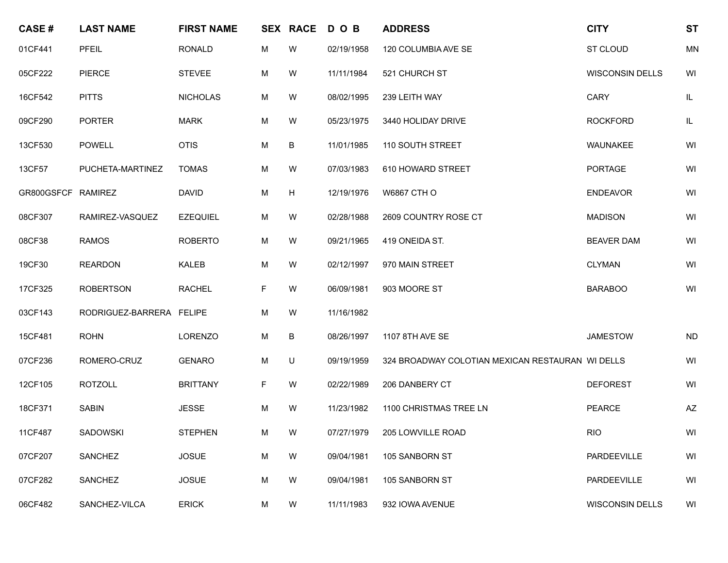| <b>CASE#</b>       | <b>LAST NAME</b>         | <b>FIRST NAME</b> |    | <b>SEX RACE</b> | DOB        | <b>ADDRESS</b>                                   | <b>CITY</b>            | <b>ST</b> |
|--------------------|--------------------------|-------------------|----|-----------------|------------|--------------------------------------------------|------------------------|-----------|
| 01CF441            | PFEIL                    | <b>RONALD</b>     | М  | W               | 02/19/1958 | 120 COLUMBIA AVE SE                              | ST CLOUD               | <b>MN</b> |
| 05CF222            | <b>PIERCE</b>            | <b>STEVEE</b>     | M  | W               | 11/11/1984 | 521 CHURCH ST                                    | <b>WISCONSIN DELLS</b> | WI        |
| 16CF542            | <b>PITTS</b>             | <b>NICHOLAS</b>   | M  | W               | 08/02/1995 | 239 LEITH WAY                                    | <b>CARY</b>            | $\sf IL$  |
| 09CF290            | <b>PORTER</b>            | <b>MARK</b>       | M  | W               | 05/23/1975 | 3440 HOLIDAY DRIVE                               | <b>ROCKFORD</b>        | $\sf IL$  |
| 13CF530            | <b>POWELL</b>            | <b>OTIS</b>       | M  | В               | 11/01/1985 | 110 SOUTH STREET                                 | WAUNAKEE               | WI        |
| 13CF57             | PUCHETA-MARTINEZ         | <b>TOMAS</b>      | M  | W               | 07/03/1983 | 610 HOWARD STREET                                | <b>PORTAGE</b>         | WI        |
| GR800GSFCF RAMIREZ |                          | <b>DAVID</b>      | M  | H               | 12/19/1976 | <b>W6867 CTH O</b>                               | <b>ENDEAVOR</b>        | WI        |
| 08CF307            | RAMIREZ-VASQUEZ          | <b>EZEQUIEL</b>   | M  | W               | 02/28/1988 | 2609 COUNTRY ROSE CT                             | <b>MADISON</b>         | WI        |
| 08CF38             | <b>RAMOS</b>             | <b>ROBERTO</b>    | M  | W               | 09/21/1965 | 419 ONEIDA ST.                                   | <b>BEAVER DAM</b>      | WI        |
| 19CF30             | <b>REARDON</b>           | KALEB             | M  | W               | 02/12/1997 | 970 MAIN STREET                                  | <b>CLYMAN</b>          | WI        |
| 17CF325            | <b>ROBERTSON</b>         | <b>RACHEL</b>     | F. | W               | 06/09/1981 | 903 MOORE ST                                     | <b>BARABOO</b>         | WI        |
| 03CF143            | RODRIGUEZ-BARRERA FELIPE |                   | M  | W               | 11/16/1982 |                                                  |                        |           |
| 15CF481            | <b>ROHN</b>              | <b>LORENZO</b>    | M  | В               | 08/26/1997 | 1107 8TH AVE SE                                  | <b>JAMESTOW</b>        | <b>ND</b> |
| 07CF236            | ROMERO-CRUZ              | <b>GENARO</b>     | M  | U               | 09/19/1959 | 324 BROADWAY COLOTIAN MEXICAN RESTAURAN WI DELLS |                        | WI        |
| 12CF105            | <b>ROTZOLL</b>           | <b>BRITTANY</b>   | F. | W               | 02/22/1989 | 206 DANBERY CT                                   | <b>DEFOREST</b>        | WI        |
| 18CF371            | <b>SABIN</b>             | <b>JESSE</b>      | M  | W               | 11/23/1982 | 1100 CHRISTMAS TREE LN                           | <b>PEARCE</b>          | AZ        |
| 11CF487            | SADOWSKI                 | <b>STEPHEN</b>    | M  | W               | 07/27/1979 | 205 LOWVILLE ROAD                                | <b>RIO</b>             | WI        |
| 07CF207            | SANCHEZ                  | <b>JOSUE</b>      | М  | W               | 09/04/1981 | 105 SANBORN ST                                   | PARDEEVILLE            | WI        |
| 07CF282            | SANCHEZ                  | <b>JOSUE</b>      | M  | W               | 09/04/1981 | 105 SANBORN ST                                   | PARDEEVILLE            | WI        |
| 06CF482            | SANCHEZ-VILCA            | <b>ERICK</b>      | M  | W               | 11/11/1983 | 932 IOWA AVENUE                                  | <b>WISCONSIN DELLS</b> | WI        |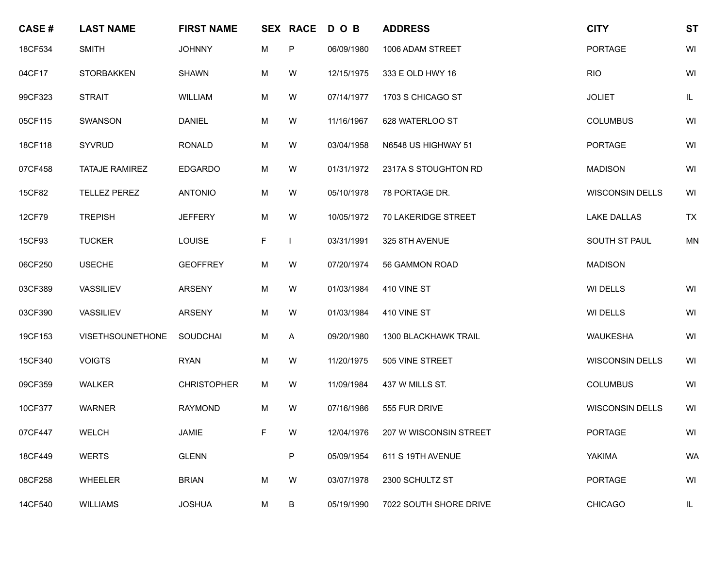| <b>CASE#</b> | <b>LAST NAME</b>        | <b>FIRST NAME</b>  |    | <b>SEX RACE</b> | DOB        | <b>ADDRESS</b>         | <b>CITY</b>            | <b>ST</b> |
|--------------|-------------------------|--------------------|----|-----------------|------------|------------------------|------------------------|-----------|
| 18CF534      | <b>SMITH</b>            | <b>JOHNNY</b>      | М  | P               | 06/09/1980 | 1006 ADAM STREET       | <b>PORTAGE</b>         | WI        |
| 04CF17       | <b>STORBAKKEN</b>       | <b>SHAWN</b>       | M  | W               | 12/15/1975 | 333 E OLD HWY 16       | <b>RIO</b>             | WI        |
| 99CF323      | <b>STRAIT</b>           | WILLIAM            | М  | W               | 07/14/1977 | 1703 S CHICAGO ST      | <b>JOLIET</b>          | IL        |
| 05CF115      | SWANSON                 | <b>DANIEL</b>      | М  | W               | 11/16/1967 | 628 WATERLOO ST        | <b>COLUMBUS</b>        | WI        |
| 18CF118      | <b>SYVRUD</b>           | <b>RONALD</b>      | M  | W               | 03/04/1958 | N6548 US HIGHWAY 51    | <b>PORTAGE</b>         | WI        |
| 07CF458      | <b>TATAJE RAMIREZ</b>   | <b>EDGARDO</b>     | М  | W               | 01/31/1972 | 2317A S STOUGHTON RD   | <b>MADISON</b>         | WI        |
| 15CF82       | <b>TELLEZ PEREZ</b>     | <b>ANTONIO</b>     | М  | W               | 05/10/1978 | 78 PORTAGE DR.         | <b>WISCONSIN DELLS</b> | WI        |
| 12CF79       | <b>TREPISH</b>          | <b>JEFFERY</b>     | M  | W               | 10/05/1972 | 70 LAKERIDGE STREET    | <b>LAKE DALLAS</b>     | <b>TX</b> |
| 15CF93       | <b>TUCKER</b>           | <b>LOUISE</b>      | F  |                 | 03/31/1991 | 325 8TH AVENUE         | SOUTH ST PAUL          | <b>MN</b> |
| 06CF250      | <b>USECHE</b>           | <b>GEOFFREY</b>    | М  | W               | 07/20/1974 | 56 GAMMON ROAD         | <b>MADISON</b>         |           |
| 03CF389      | <b>VASSILIEV</b>        | <b>ARSENY</b>      | M  | W               | 01/03/1984 | 410 VINE ST            | WI DELLS               | WI        |
| 03CF390      | VASSILIEV               | <b>ARSENY</b>      | M  | W               | 01/03/1984 | 410 VINE ST            | WI DELLS               | WI        |
| 19CF153      | <b>VISETHSOUNETHONE</b> | SOUDCHAI           | M  | A               | 09/20/1980 | 1300 BLACKHAWK TRAIL   | <b>WAUKESHA</b>        | WI        |
| 15CF340      | <b>VOIGTS</b>           | <b>RYAN</b>        | M  | W               | 11/20/1975 | 505 VINE STREET        | <b>WISCONSIN DELLS</b> | WI        |
| 09CF359      | <b>WALKER</b>           | <b>CHRISTOPHER</b> | М  | W               | 11/09/1984 | 437 W MILLS ST.        | <b>COLUMBUS</b>        | WI        |
| 10CF377      | <b>WARNER</b>           | <b>RAYMOND</b>     | М  | W               | 07/16/1986 | 555 FUR DRIVE          | <b>WISCONSIN DELLS</b> | WI        |
| 07CF447      | WELCH                   | JAMIE              | F. | W               | 12/04/1976 | 207 W WISCONSIN STREET | PORTAGE                | WI        |
| 18CF449      | <b>WERTS</b>            | <b>GLENN</b>       |    | P               | 05/09/1954 | 611 S 19TH AVENUE      | YAKIMA                 | <b>WA</b> |
| 08CF258      | WHEELER                 | <b>BRIAN</b>       | M  | W               | 03/07/1978 | 2300 SCHULTZ ST        | <b>PORTAGE</b>         | WI        |
| 14CF540      | <b>WILLIAMS</b>         | <b>JOSHUA</b>      | M  | B               | 05/19/1990 | 7022 SOUTH SHORE DRIVE | <b>CHICAGO</b>         | IL        |